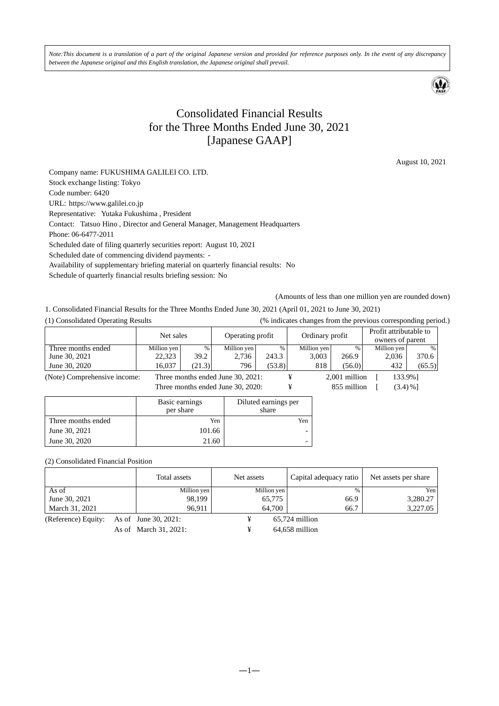*Note:This document is a translation of a part of the original Japanese version and provided for reference purposes only. In the event of any discrepancy between the Japanese original and this English translation, the Japanese original shall prevail.* 



# Consolidated Financial Results for the Three Months Ended June 30, 2021 [Japanese GAAP]

August 10, 2021

Company name: FUKUSHIMA GALILEI CO. LTD. Stock exchange listing: Tokyo Code number: 6420 URL: https://www.galilei.co.jp Representative: Yutaka Fukushima , President Contact: Tatsuo Hino , Director and General Manager, Management Headquarters Phone: 06-6477-2011 Scheduled date of filing quarterly securities report: August 10, 2021 Scheduled date of commencing dividend payments: - Availability of supplementary briefing material on quarterly financial results: No Schedule of quarterly financial results briefing session: No

(Amounts of less than one million yen are rounded down)

1. Consolidated Financial Results for the Three Months Ended June 30, 2021 (April 01, 2021 to June 30, 2021)

(1) Consolidated Operating Results (% indicates changes from the previous corresponding period.)

|                              | Net sales   |        | Operating profit                  |        | Ordinary profit |               | Profit attributable to<br>owners of parent |               |
|------------------------------|-------------|--------|-----------------------------------|--------|-----------------|---------------|--------------------------------------------|---------------|
| Three months ended           | Million yen | %      | Million yen                       | %      | Million yen     | %             | Million yen                                | $\frac{0}{0}$ |
| June 30, 2021                | 22,323      | 39.2   | 2.736                             | 243.3  | 3.003           | 266.9         | 2,036                                      | 370.6         |
| June 30, 2020                | 16.037      | (21.3) | 796                               | (53.8) | 818             | (56.0)        | 432                                        | (65.5)        |
| (Note) Comprehensive income: |             |        | Three months ended June 30, 2021: |        |                 | 2.001 million | 133.9%1                                    |               |

Three months ended June 30, 2020:  $\qquad \qquad \text{if} \qquad \qquad 855 \text{ million} \qquad \text{[} \qquad (3.4) \% \text{]}$ 

|                    | Basic earnings<br>per share | Diluted earnings per<br>share |
|--------------------|-----------------------------|-------------------------------|
| Three months ended | Yen                         | Yen                           |
| June 30, 2021      | 101.66                      |                               |
| June 30, 2020      | 21.60                       |                               |

#### (2) Consolidated Financial Position

|                                          | Total assets | Net assets  | Capital adequacy ratio | Net assets per share |
|------------------------------------------|--------------|-------------|------------------------|----------------------|
| As of                                    | Million yen  | Million yen | $\frac{0}{0}$          | Yen                  |
| June 30, 2021                            | 98,199       | 65,775      | 66.9                   | 3.280.27             |
| March 31, 2021                           | 96.911       | 64,700      | 66.7                   | 3.227.05             |
| (Reference) Equity: As of June 30, 2021: |              |             | $65.724$ million       |                      |

As of March 31, 2021:  $\qquad \qquad \text{4.658 million}$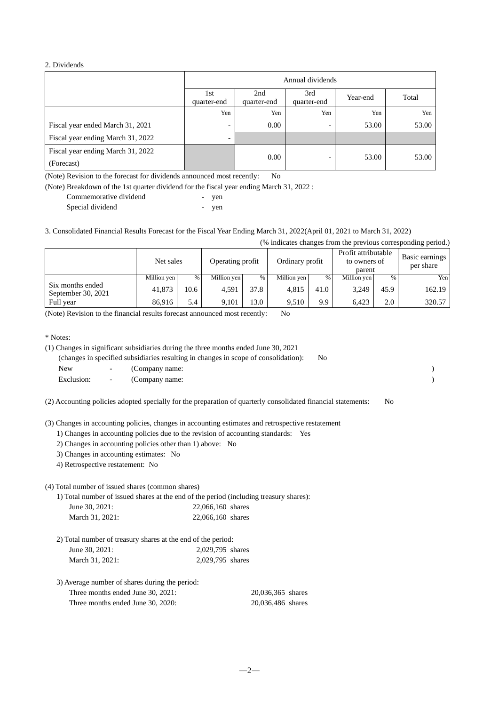#### 2. Dividends

|                                   | Annual dividends         |                    |                    |          |       |  |
|-----------------------------------|--------------------------|--------------------|--------------------|----------|-------|--|
|                                   | 1st<br>quarter-end       | 2nd<br>quarter-end | 3rd<br>quarter-end | Year-end | Total |  |
|                                   | Yen                      | Yen                | Yen                | Yen      | Yen   |  |
| Fiscal year ended March 31, 2021  | $\overline{\phantom{0}}$ | 0.00               | -                  | 53.00    | 53.00 |  |
| Fiscal year ending March 31, 2022 | -                        |                    |                    |          |       |  |
| Fiscal year ending March 31, 2022 |                          | 0.00               | -                  | 53.00    | 53.00 |  |
| (Forecast)                        |                          |                    |                    |          |       |  |

(Note) Revision to the forecast for dividends announced most recently: No

(Note) Breakdown of the 1st quarter dividend for the fiscal year ending March 31, 2022 :

| Commemorative dividend | ven |
|------------------------|-----|
| Special dividend       | ven |

3. Consolidated Financial Results Forecast for the Fiscal Year Ending March 31, 2022(April 01, 2021 to March 31, 2022)

| (% indicates changes from the previous corresponding period.) |             |      |                  |      |                 |      |                                               |      |                             |
|---------------------------------------------------------------|-------------|------|------------------|------|-----------------|------|-----------------------------------------------|------|-----------------------------|
|                                                               | Net sales   |      | Operating profit |      | Ordinary profit |      | Profit attributable<br>to owners of<br>parent |      | Basic earnings<br>per share |
|                                                               | Million yen | %    | Million yen      | %    | Million yen     | %    | Million yen                                   | %    | Yen                         |
| Six months ended<br>September 30, 2021                        | 41,873      | 10.6 | 4.591            | 37.8 | 4.815           | 41.0 | 3,249                                         | 45.9 | 162.19                      |
| Full year                                                     | 86.916      | 5.4  | 9.101            | 13.0 | 9.510           | 9.9  | 6.423                                         | 2.0  | 320.57                      |

(Note) Revision to the financial results forecast announced most recently: No

\* Notes:

|              | (1) Changes in significant subsidiaries during the three months ended June 30, 2021 |     |  |
|--------------|-------------------------------------------------------------------------------------|-----|--|
|              | (changes in specified subsidiaries resulting in changes in scope of consolidation): | No. |  |
| New \,       | - (Company name:                                                                    |     |  |
| Exclusion: - | (Company name:                                                                      |     |  |

(2) Accounting policies adopted specially for the preparation of quarterly consolidated financial statements: No

(3) Changes in accounting policies, changes in accounting estimates and retrospective restatement

1) Changes in accounting policies due to the revision of accounting standards: Yes

2) Changes in accounting policies other than 1) above: No

3) Changes in accounting estimates: No

4) Retrospective restatement: No

(4) Total number of issued shares (common shares)

1) Total number of issued shares at the end of the period (including treasury shares):

| June 30, 2021:  | 22,066,160 shares |
|-----------------|-------------------|
| March 31, 2021: | 22,066,160 shares |

2) Total number of treasury shares at the end of the period:

| June 30, 2021:  | 2,029,795 shares |
|-----------------|------------------|
| March 31, 2021: | 2,029,795 shares |

3) Average number of shares during the period:

| Three months ended June 30, 2021: | 20,036,365 shares |
|-----------------------------------|-------------------|
| Three months ended June 30, 2020: | 20,036,486 shares |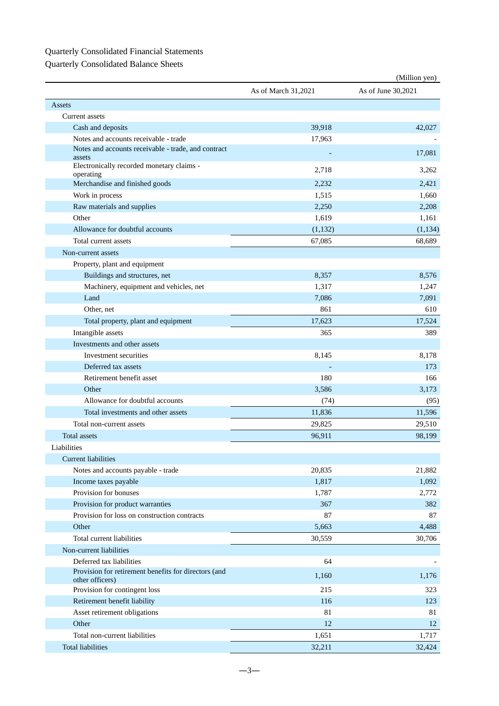## Quarterly Consolidated Financial Statements

Quarterly Consolidated Balance Sheets

|                                                                         |                     | (Million yen)      |
|-------------------------------------------------------------------------|---------------------|--------------------|
|                                                                         | As of March 31,2021 | As of June 30,2021 |
| Assets                                                                  |                     |                    |
| Current assets                                                          |                     |                    |
| Cash and deposits                                                       | 39,918              | 42,027             |
| Notes and accounts receivable - trade                                   | 17,963              |                    |
| Notes and accounts receivable - trade, and contract<br>assets           |                     | 17,081             |
| Electronically recorded monetary claims -<br>operating                  | 2,718               | 3,262              |
| Merchandise and finished goods                                          | 2,232               | 2,421              |
| Work in process                                                         | 1,515               | 1,660              |
| Raw materials and supplies                                              | 2,250               | 2,208              |
| Other                                                                   | 1,619               | 1,161              |
| Allowance for doubtful accounts                                         | (1,132)             | (1, 134)           |
| Total current assets                                                    | 67,085              | 68,689             |
| Non-current assets                                                      |                     |                    |
| Property, plant and equipment                                           |                     |                    |
| Buildings and structures, net                                           | 8,357               | 8,576              |
| Machinery, equipment and vehicles, net                                  | 1,317               | 1,247              |
| Land                                                                    | 7,086               | 7,091              |
| Other, net                                                              | 861                 | 610                |
| Total property, plant and equipment                                     | 17,623              | 17,524             |
| Intangible assets                                                       | 365                 | 389                |
| Investments and other assets                                            |                     |                    |
| Investment securities                                                   | 8,145               | 8,178              |
| Deferred tax assets                                                     |                     | 173                |
| Retirement benefit asset                                                | 180                 | 166                |
| Other                                                                   | 3,586               | 3,173              |
| Allowance for doubtful accounts                                         | (74)                | (95)               |
| Total investments and other assets                                      | 11,836              | 11,596             |
| Total non-current assets                                                | 29,825              | 29,510             |
| Total assets                                                            | 96,911              | 98,199             |
| Liabilities                                                             |                     |                    |
| <b>Current liabilities</b>                                              |                     |                    |
| Notes and accounts payable - trade                                      | 20,835              | 21,882             |
| Income taxes payable                                                    | 1,817               | 1,092              |
| Provision for bonuses                                                   | 1,787               | 2,772              |
| Provision for product warranties                                        | 367                 | 382                |
| Provision for loss on construction contracts                            | 87                  | 87                 |
| Other                                                                   | 5,663               | 4,488              |
| Total current liabilities                                               | 30,559              | 30,706             |
| Non-current liabilities                                                 |                     |                    |
| Deferred tax liabilities                                                | 64                  |                    |
| Provision for retirement benefits for directors (and<br>other officers) | 1,160               | 1,176              |
| Provision for contingent loss                                           | 215                 | 323                |
| Retirement benefit liability                                            | 116                 | 123                |
| Asset retirement obligations                                            | 81                  | 81                 |
| Other                                                                   | 12                  | 12                 |
| Total non-current liabilities                                           | 1,651               | 1,717              |
| <b>Total liabilities</b>                                                | 32,211              | 32,424             |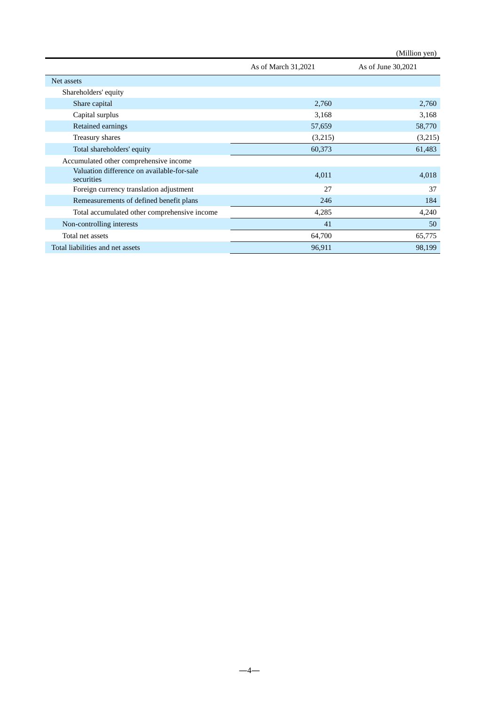|                                                          |                     | (Million yen)      |
|----------------------------------------------------------|---------------------|--------------------|
|                                                          | As of March 31,2021 | As of June 30,2021 |
| Net assets                                               |                     |                    |
| Shareholders' equity                                     |                     |                    |
| Share capital                                            | 2,760               | 2,760              |
| Capital surplus                                          | 3,168               | 3,168              |
| Retained earnings                                        | 57,659              | 58,770             |
| Treasury shares                                          | (3,215)             | (3,215)            |
| Total shareholders' equity                               | 60,373              | 61,483             |
| Accumulated other comprehensive income                   |                     |                    |
| Valuation difference on available-for-sale<br>securities | 4,011               | 4,018              |
| Foreign currency translation adjustment                  | 27                  | 37                 |
| Remeasurements of defined benefit plans                  | 246                 | 184                |
| Total accumulated other comprehensive income             | 4,285               | 4,240              |
| Non-controlling interests                                | 41                  | 50                 |
| Total net assets                                         | 64,700              | 65,775             |
| Total liabilities and net assets                         | 96,911              | 98,199             |

―4―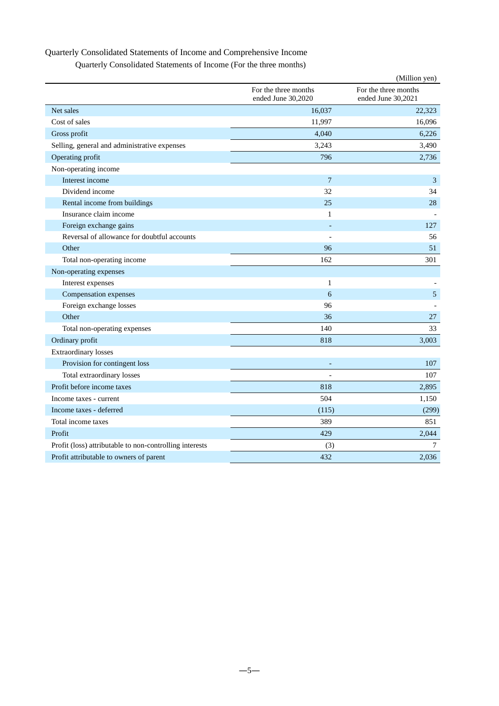## Quarterly Consolidated Statements of Income and Comprehensive Income

| Quarterly Consolidated Statements of Income (For the three months) |  |  |  |
|--------------------------------------------------------------------|--|--|--|
|--------------------------------------------------------------------|--|--|--|

|                                                         |                                            | (Million yen)                              |
|---------------------------------------------------------|--------------------------------------------|--------------------------------------------|
|                                                         | For the three months<br>ended June 30,2020 | For the three months<br>ended June 30,2021 |
| Net sales                                               | 16,037                                     | 22,323                                     |
| Cost of sales                                           | 11,997                                     | 16,096                                     |
| Gross profit                                            | 4,040                                      | 6,226                                      |
| Selling, general and administrative expenses            | 3,243                                      | 3,490                                      |
| Operating profit                                        | 796                                        | 2,736                                      |
| Non-operating income                                    |                                            |                                            |
| Interest income                                         | 7                                          | $\mathfrak{Z}$                             |
| Dividend income                                         | 32                                         | 34                                         |
| Rental income from buildings                            | 25                                         | 28                                         |
| Insurance claim income                                  | $\mathbf{1}$                               |                                            |
| Foreign exchange gains                                  |                                            | 127                                        |
| Reversal of allowance for doubtful accounts             |                                            | 56                                         |
| Other                                                   | 96                                         | 51                                         |
| Total non-operating income                              | 162                                        | 301                                        |
| Non-operating expenses                                  |                                            |                                            |
| Interest expenses                                       | 1                                          |                                            |
| Compensation expenses                                   | 6                                          | 5                                          |
| Foreign exchange losses                                 | 96                                         |                                            |
| Other                                                   | 36                                         | 27                                         |
| Total non-operating expenses                            | 140                                        | 33                                         |
| Ordinary profit                                         | 818                                        | 3,003                                      |
| <b>Extraordinary losses</b>                             |                                            |                                            |
| Provision for contingent loss                           |                                            | 107                                        |
| Total extraordinary losses                              |                                            | 107                                        |
| Profit before income taxes                              | 818                                        | 2,895                                      |
| Income taxes - current                                  | 504                                        | 1,150                                      |
| Income taxes - deferred                                 | (115)                                      | (299)                                      |
| Total income taxes                                      | 389                                        | 851                                        |
| Profit                                                  | 429                                        | 2,044                                      |
| Profit (loss) attributable to non-controlling interests | (3)                                        | 7                                          |
| Profit attributable to owners of parent                 | 432                                        | 2,036                                      |